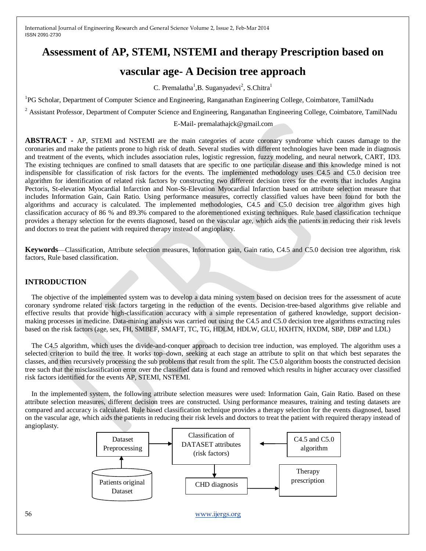# **Assessment of AP, STEMI, NSTEMI and therapy Prescription based on**

# **vascular age- A Decision tree approach**

C. Premalatha<sup>1</sup>, B. Suganyadevi<sup>2</sup>, S. Chitra<sup>1</sup>

<sup>1</sup>PG Scholar, Department of Computer Science and Engineering, Ranganathan Engineering College, Coimbatore, TamilNadu

<sup>2</sup> Assistant Professor, Department of Computer Science and Engineering, Ranganathan Engineering College, Coimbatore, TamilNadu

E-Mail- [premalathajck@gmail.com](mailto:E-Mail-%20premalathajck@gmail.com)

**ABSTRACT -** AP, STEMI and NSTEMI are the main categories of acute coronary syndrome which causes damage to the coronaries and make the patients prone to high risk of death. Several studies with different technologies have been made in diagnosis and treatment of the events, which includes association rules, logistic regression, fuzzy modeling, and neural network, CART, ID3. The existing techniques are confined to small datasets that are specific to one particular disease and this knowledge mined is not indispensible for classification of risk factors for the events. The implemented methodology uses C4.5 and C5.0 decision tree algorithm for identification of related risk factors by constructing two different decision trees for the events that includes Angina Pectoris, St-elevation Myocardial Infarction and Non-St-Elevation Myocardial Infarction based on attribute selection measure that includes Information Gain, Gain Ratio. Using performance measures, correctly classified values have been found for both the algorithms and accuracy is calculated. The implemented methodologies, C4.5 and C5.0 decision tree algorithm gives high classification accuracy of 86 % and 89.3% compared to the aforementioned existing techniques. Rule based classification technique provides a therapy selection for the events diagnosed, based on the vascular age, which aids the patients in reducing their risk levels and doctors to treat the patient with required therapy instead of angioplasty.

**Keywords**—Classification, Attribute selection measures, Information gain, Gain ratio, C4.5 and C5.0 decision tree algorithm, risk factors, Rule based classification.

# **INTRODUCTION**

The objective of the implemented system was to develop a data mining system based on decision trees for the assessment of acute coronary syndrome related risk factors targeting in the reduction of the events. Decision-tree-based algorithms give reliable and effective results that provide high-classification accuracy with a simple representation of gathered knowledge, support decisionmaking processes in medicine. Data-mining analysis was carried out using the C4.5 and C5.0 decision tree algorithms extracting rules based on the risk factors (age, sex, FH, SMBEF, SMAFT, TC, TG, HDLM, HDLW, GLU, HXHTN, HXDM, SBP, DBP and LDL)

The C4.5 algorithm, which uses the divide-and-conquer approach to decision tree induction, was employed. The algorithm uses a selected criterion to build the tree. It works top–down, seeking at each stage an attribute to split on that which best separates the classes, and then recursively processing the sub problems that result from the split. The C5.0 algorithm boosts the constructed decision tree such that the misclassification error over the classified data is found and removed which results in higher accuracy over classified risk factors identified for the events AP, STEMI, NSTEMI.

In the implemented system, the following attribute selection measures were used: Information Gain, Gain Ratio. Based on these attribute selection measures, different decision trees are constructed. Using performance measures, training and testing datasets are compared and accuracy is calculated. Rule based classification technique provides a therapy selection for the events diagnosed, based on the vascular age, which aids the patients in reducing their risk levels and doctors to treat the patient with required therapy instead of angioplasty.

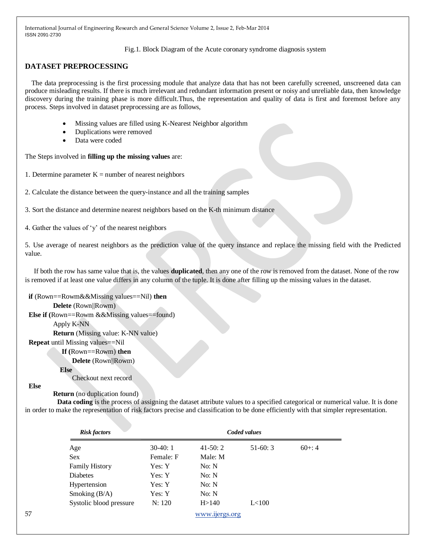Fig.1. Block Diagram of the Acute coronary syndrome diagnosis system

# **DATASET PREPROCESSING**

The data preprocessing is the first processing module that analyze data that has not been carefully screened, unscreened data can produce misleading results. If there is much irrelevant and redundant information present or noisy and unreliable data, then knowledge discovery during the training phase is more difficult.Thus, the representation and quality of data is first and foremost before any process. Steps involved in dataset preprocessing are as follows,

- Missing values are filled using K-Nearest Neighbor algorithm
- Duplications were removed
- Data were coded

The Steps involved in **filling up the missing values** are:

- 1. Determine parameter  $K =$  number of nearest neighbors
- 2. Calculate the distance between the query-instance and all the training samples
- 3. Sort the distance and determine nearest neighbors based on the K-th minimum distance

4. Gather the values of 'y' of the nearest neighbors

5. Use average of nearest neighbors as the prediction value of the query instance and replace the missing field with the Predicted value.

 If both the row has same value that is, the values **duplicated**, then any one of the row is removed from the dataset. None of the row is removed if at least one value differs in any column of the tuple. It is done after filling up the missing values in the dataset.

#### **if** (Rown==Rowm&&Missing values==Nil) **then**

#### **Delete** (Rown||Rowm)

**Else if** (Rown==Rowm &&Missing values==found)

Apply K-NN

 **Return** (Missing value: K-NN value)

**Repeat** until Missing values==Nil

#### **If (**Rown==Rowm) **then**

 **Delete** (Rown||Rowm)

#### **Else**

Checkout next record

#### **Else**

#### **Return** (no duplication found)

 **Data coding** is the process of assigning the dataset attribute values to a specified categorical or numerical value. It is done in order to make the representation of risk factors precise and classification to be done efficiently with that simpler representation.

|    | <b>Risk factors</b>     |           |                | Coded values |           |  |
|----|-------------------------|-----------|----------------|--------------|-----------|--|
|    | Age                     | $30-40:1$ | $41-50:2$      | $51-60:3$    | $60 + 14$ |  |
|    | <b>Sex</b>              | Female: F | Male: M        |              |           |  |
|    | <b>Family History</b>   | Yes: Y    | No: N          |              |           |  |
|    | Diabetes                | Yes: Y    | No: N          |              |           |  |
|    | Hypertension            | Yes: Y    | No: N          |              |           |  |
|    | Smoking $(B/A)$         | Yes: Y    | No: N          |              |           |  |
|    | Systolic blood pressure | N: 120    | H > 140        | L<100        |           |  |
| 57 |                         |           | www.ijergs.org |              |           |  |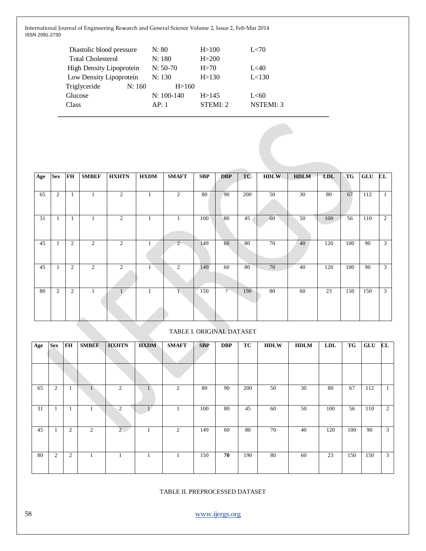| Diastolic blood pressure        |        | N: 80        | H > 100  | L<70             |
|---------------------------------|--------|--------------|----------|------------------|
| <b>Total Cholesterol</b>        |        | N: 180       | H > 200  |                  |
| <b>High Density Lipoprotein</b> |        | $N: 50-70$   | H > 70   | L<40             |
| Low Density Lipoprotein         |        | N: 130       | H > 130  | L<130            |
| Triglyceride                    | N: 160 | H > 160      |          |                  |
| Glucose                         |        | $N: 100-140$ | H > 145  | L < 60           |
| Class                           |        | AP:1         | STEMI: 2 | <b>NSTEMI: 3</b> |
|                                 |        |              |          |                  |

| Age | <b>Sex</b>     | FH             | <b>SMBEF</b>   | <b>HXHTN</b>   | <b>HXDM</b> | <b>SMAFT</b> | SBP | <b>DBP</b>     | TC  | <b>HDLW</b> | <b>HDLM</b> | <b>LDL</b> | TG  | GLU | CL             |
|-----|----------------|----------------|----------------|----------------|-------------|--------------|-----|----------------|-----|-------------|-------------|------------|-----|-----|----------------|
|     |                |                |                |                |             |              |     |                |     |             |             |            |     |     |                |
| 65  | $\overline{c}$ | $\mathbf{1}$   | 1              | 2              | 1           | 2            | 80  | 90             | 200 | 50          | 30          | 80         | 67  | 112 | 1              |
| 31  | 1              | 1              | 1              | 2              | 1           | 1            | 100 | 80             | 45  | 60          | 50          | 100        | 56  | 110 | $\overline{2}$ |
| 45  | $\mathbf{1}$   | $\overline{c}$ | $\overline{2}$ | 2              |             | 2            | 149 | 60             | 80  | 70          | 40          | 120        | 100 | 90  | 3              |
| 45  | 1              | 2              | 2              | $\overline{2}$ |             | 2            | 149 | 60             | 80  | 70          | 40          | 120        | 100 | 90  | 3              |
| 80  | 2              | $\overline{c}$ | 1              | $\mathbf{L}$   | 1           | $\mathbf{I}$ | 150 | $\overline{?}$ | 190 | 80          | 60          | 23         | 150 | 150 | 3              |

# TABLE I. ORIGINAL DATASET

| Age | <b>Sex</b>     | <b>FH</b>      | <b>SMBEF</b> | <b>HXHTN</b>   | <b>HXDM</b> | <b>SMAFT</b> | <b>SBP</b> | <b>DBP</b> | TC  | <b>HDLW</b> | <b>HDLM</b> | <b>LDL</b> | TG  | <b>GLU</b> | CL      |
|-----|----------------|----------------|--------------|----------------|-------------|--------------|------------|------------|-----|-------------|-------------|------------|-----|------------|---------|
|     |                |                |              |                |             |              |            |            |     |             |             |            |     |            |         |
|     |                |                |              |                |             |              |            |            |     |             |             |            |     |            |         |
| 65  | $\overline{c}$ | -1             |              | $\overline{2}$ | п           | 2            | 80         | 90         | 200 | 50          | 30          | 80         | 67  | 112        | $\perp$ |
| 31  |                |                |              | $\overline{2}$ |             |              | 100        | 80         | 45  | 60          | 50          | 100        | 56  | 110        | 2       |
| 45  |                | $\overline{c}$ | 2            | $2 -$          |             | 2            | 149        | 60         | 80  | 70          | 40          | 120        | 100 | 90         | 3       |
| 80  | $\overline{2}$ | 2              |              |                |             | л.           | 150        | 70         | 190 | 80          | 60          | 23         | 150 | 150        | 3       |

# TABLE II. PREPROCESSED DATASET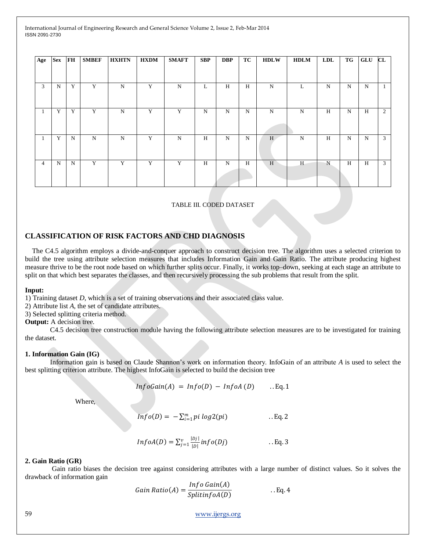| Age            | <b>Sex</b> | <b>FH</b> | <b>SMBEF</b> | <b>HXHTN</b> | <b>HXDM</b> | <b>SMAFT</b> | <b>SBP</b> | <b>DBP</b> | TC | <b>HDLW</b> | <b>HDLM</b> | <b>LDL</b>  | TG | GLU | $\mathbf{CL}$ |
|----------------|------------|-----------|--------------|--------------|-------------|--------------|------------|------------|----|-------------|-------------|-------------|----|-----|---------------|
|                |            |           |              |              |             |              |            |            |    |             |             |             |    |     |               |
| 3              | N          | Y         | Y            | N            | Y           | $\mathbf N$  | L          | H          | H  | N           | L           | $\mathbf N$ | N  | N   | $\perp$       |
| -1             | Y          | Y         | Y            | $\mathbf N$  | Y           | Y            | ${\bf N}$  | N          | N  | N           | $\mathbf N$ | H           | N  | H   | 2             |
| -1             | Y          | N         | N            | N            | Y           | N            | H          | N          | N  | H           | $\mathbf N$ | H           | N  | N   | 3             |
| $\overline{4}$ | N          | N         | Y            | Y            | Y           | Y            | Н          | N          | H  | H           | H           | $\mathbf N$ | Н  | H   | 3             |

TABLE III. CODED DATASET

### **CLASSIFICATION OF RISK FACTORS AND CHD DIAGNOSIS**

 The C4.5 algorithm employs a divide-and-conquer approach to construct decision tree. The algorithm uses a selected criterion to build the tree using attribute selection measures that includes Information Gain and Gain Ratio. The attribute producing highest measure thrive to be the root node based on which further splits occur. Finally, it works top–down, seeking at each stage an attribute to split on that which best separates the classes, and then recursively processing the sub problems that result from the split.

#### **Input:**

1) Training dataset *D*, which is a set of training observations and their associated class value.

2) Attribute list *A*, the set of candidate attributes.

3) Selected splitting criteria method.

#### **Output:** A decision tree.

C4.5 decision tree construction module having the following attribute selection measures are to be investigated for training the dataset.

#### **1. Information Gain (IG)**

Information gain is based on Claude Shannon's work on information theory. InfoGain of an attribute *A* is used to select the best splitting criterion attribute. The highest InfoGain is selected to build the decision tree

$$
InfoGain(A) = Info(D) - InfoA(D) \qquad . Eq. 1
$$

Where,

$$
Info(D) = -\sum_{i=1}^{m} pi log2(ii)
$$
 . Eq. 2

$$
InfoA(D) = \sum_{j=1}^{v} \frac{|Dj|}{|D|} info(Dj)
$$
 . . Eq. 3

#### **2. Gain Ratio (GR)**

Gain ratio biases the decision tree against considering attributes with a large number of distinct values. So it solves the drawback of information gain

Gain Ratio(A) = 
$$
\frac{Info Gain(A)}{SplitinfoA(D)}
$$
 . Eq. 4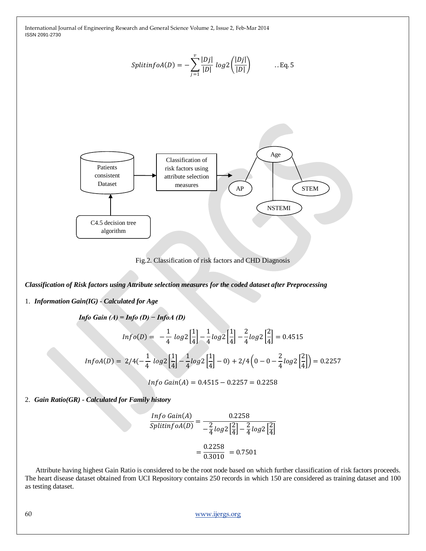$$
SplitinfoA(D) = -\sum_{j=1}^{v} \frac{|Dj|}{|D|} log 2 \left( \frac{|Dj|}{|D|} \right) \qquad \dots \text{Eq. 5}
$$



Fig.2. Classification of risk factors and CHD Diagnosis

*Classification of Risk factors using Attribute selection measures for the coded dataset after Preprocessing*

1. *Information Gain(IG) - Calculated for Age*

$$
\text{Info Gain (A)} = \text{Info (D)} - \text{InfoA (D)}
$$
\n
$$
\text{Info}(D) = -\frac{1}{4} \log 2 \left[ \frac{1}{4} \right] - \frac{1}{4} \log 2 \left[ \frac{1}{4} \right] - \frac{2}{4} \log 2 \left[ \frac{2}{4} \right] = 0.4515
$$
\n
$$
\text{InfoA}(D) = 2/4(-\frac{1}{4} \log 2 \left[ \frac{1}{4} \right] - \frac{1}{4} \log 2 \left[ \frac{1}{4} \right] - 0) + 2/4 \left( 0 - 0 - \frac{2}{4} \log 2 \left[ \frac{2}{4} \right] \right) = 0.2257
$$
\n
$$
\text{Info Gain}(A) = 0.4515 - 0.2257 = 0.2258
$$

2. *Gain Ratio(GR) - Calculated for Family history*

$$
\frac{Info\ Gain(A)}{Split\ of\ OA(D)} = \frac{0.2258}{-\frac{2}{4}\log 2\left[\frac{2}{4}\right] - \frac{2}{4}\log 2\left[\frac{2}{4}\right]}
$$

$$
= \frac{0.2258}{0.3010} = 0.7501
$$

 Attribute having highest Gain Ratio is considered to be the root node based on which further classification of risk factors proceeds. The heart disease dataset obtained from UCI Repository contains 250 records in which 150 are considered as training dataset and 100 as testing dataset.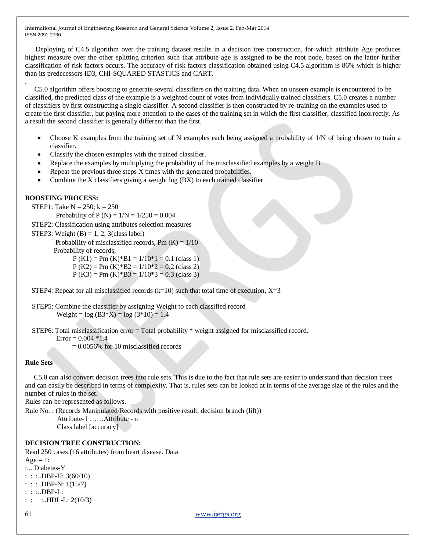Deploying of C4.5 algorithm over the training dataset results in a decision tree construction, for which attribute Age produces highest measure over the other splitting criterion such that attribute age is assigned to be the root node, based on the latter further classification of risk factors occurs. The accuracy of risk factors classification obtained using C4.5 algorithm is 86% which is higher than its predecessors ID3, CHI-SQUARED STASTICS and CART.

C5.0 algorithm offers boosting to generate several classifiers on the training data. When an unseen example is encountered to be classified, the predicted class of the example is a weighted count of votes from individually trained classifiers. C5.0 creates a number of classifiers by first constructing a single classifier. A second classifier is then constructed by re-training on the examples used to create the first classifier, but paying more attention to the cases of the training set in which the first classifier, classified incorrectly. As a result the second classifier is generally different than the first.

- Choose K examples from the training set of N examples each being assigned a probability of 1/N of being chosen to train a classifier.
- Classify the chosen examples with the trained classifier.
- Replace the examples by multiplying the probability of the misclassified examples by a weight B.
- Repeat the previous three steps X times with the generated probabilities.
- Combine the X classifiers giving a weight log (BX) to each trained classifier.

#### **BOOSTING PROCESS:**

.

STEP1: Take  $N = 250$ ;  $k = 250$ 

Probability of P (N) =  $1/N = 1/250 = 0.004$ 

STEP2: Classification using attributes selection measures

STEP3: Weight  $(B) = 1, 2, 3$  (class label)

Probability of misclassified records,  $Pm (K) = 1/10$ 

Probability of records,

 $P (K1) = Pm (K)*B1 = 1/10*1 = 0.1$  (class 1)

 $P (K2) = Pm (K)*B2 = 1/10*2 = 0.2$  (class 2)

 $P (K3) = Pm (K)*B3 = 1/10*3 = 0.3$  (class 3)

STEP4: Repeat for all misclassified records  $(k=10)$  such that total time of execution,  $X=3$ 

```
 STEP5: Combine the classifier by assigning Weight to each classified record
        Weight = log(B3*X) = log(3*10) = 1.4
```
STEP6: Total misclassification error = Total probability \* weight assigned for misclassified record.

 $Error = 0.004 *1.4$ 

= 0.0056% for 10 misclassified records

#### **Rule Sets**

 C5.0 can also convert decision trees into rule sets. This is due to the fact that rule sets are easier to understand than decision trees and can easily be described in terms of complexity. That is, rules sets can be looked at in terms of the average size of the rules and the number of rules in the set.

Rules can be represented as follows.

Rule No. : (Records Manipulated/Records with positive result, decision branch (lift)) Attribute-1 ……Attribute - n Class label [accuracy]

### **DECISION TREE CONSTRUCTION:**

Read 250 cases (16 attributes) from heart disease. Data Age  $= 1$ : :....Diabetes-Y : :  $LDBP-H: 3(60/10)$ : : :..DBP-N: 1(15/7) : : :..DBP-L:

```
: : \therefore HDL-L: 2(10/3)
```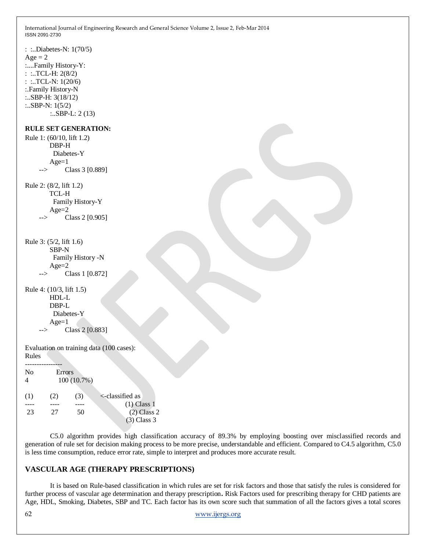```
: :..Diabetes-N: 1(70/5)
Age = 2:....Family History-Y:
: :..TCL-H: 2(8/2)
: :..TCL-N: 1(20/6)
:.Family History-N
:..SBP-H: 3(18/12)
:..SBP-N: 1(5/2)
        :..SBP-L: 2 (13)
RULE SET GENERATION:
Rule 1: (60/10, lift 1.2)
        DBP-H
         Diabetes-Y 
       Age=1 --> Class 3 [0.889]
Rule 2: (8/2, lift 1.2)
        TCL-H
         Family History-Y 
        Age=2
            Class 2 [0.905]
Rule 3: (5/2, lift 1.6)
        SBP-N
         Family History -N 
         Age=2
     --> Class 1 [0.872]
Rule 4: (10/3, lift 1.5)
        HDL-L 
        DBP-L
         Diabetes-Y 
        Age=1
     --> Class 2 [0.883]
Evaluation on training data (100 cases):
Rules
----No Errors
4 100 (10.7%)
(1) (2) (3) \le-classified as
---- ---- ---- ---- (1) Class 1
23 27 50 (2) Class 2 
                                 (3) Class 3
```
C5.0 algorithm provides high classification accuracy of 89.3% by employing boosting over misclassified records and generation of rule set for decision making process to be more precise, understandable and efficient. Compared to C4.5 algorithm, C5.0 is less time consumption, reduce error rate, simple to interpret and produces more accurate result.

#### **VASCULAR AGE (THERAPY PRESCRIPTIONS)**

It is based on Rule-based classification in which rules are set for risk factors and those that satisfy the rules is considered for further process of vascular age determination and therapy prescription**.** Risk Factors used for prescribing therapy for CHD patients are Age, HDL, Smoking, Diabetes, SBP and TC. Each factor has its own score such that summation of all the factors gives a total scores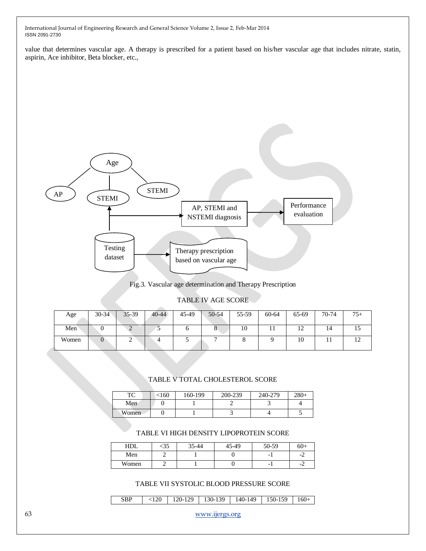value that determines vascular age. A therapy is prescribed for a patient based on his/her vascular age that includes nitrate, statin, aspirin, Ace inhibitor, Beta blocker, etc.,



Fig.3. Vascular age determination and Therapy Prescription

## TABLE IV AGE SCORE

| Age   | $30 - 34$ | $35 - 39$ | $40 - 44$ | 45-49 | 50-54 | 55-59 | 60-64     | 65-69          | 70-74 | $75+$          |
|-------|-----------|-----------|-----------|-------|-------|-------|-----------|----------------|-------|----------------|
| Men   |           |           |           |       |       | 10    | <b>TT</b> | $\overline{ }$ | 14    | ⊥ J            |
| Women | U         | ∸         |           |       | -     |       |           | 10             |       | $\overline{1}$ |

# TABLE V TOTAL CHOLESTEROL SCORE

| mа<br>1 U | <160 | 160-199 | 200-239 | 240-279 | $280+$ |
|-----------|------|---------|---------|---------|--------|
| Men       |      |         |         |         |        |
| Women     |      |         |         |         |        |

# TABLE VI HIGH DENSITY LIPOPROTEIN SCORE

| HDL   | ລວ | 35-44 | 45-49 | 50-59                    | $60+$     |
|-------|----|-------|-------|--------------------------|-----------|
| Men   |    |       |       | $\overline{\phantom{0}}$ | $-\angle$ |
| Women |    |       |       | $\overline{\phantom{0}}$ | - 1<br>c  |

# TABLE VII SYSTOLIC BLOOD PRESSURE SCORE

| <b>SBP</b> | $\langle 120   120 - 129   130 - 139   140 - 149   150 - 159   160 +$ |  |  |
|------------|-----------------------------------------------------------------------|--|--|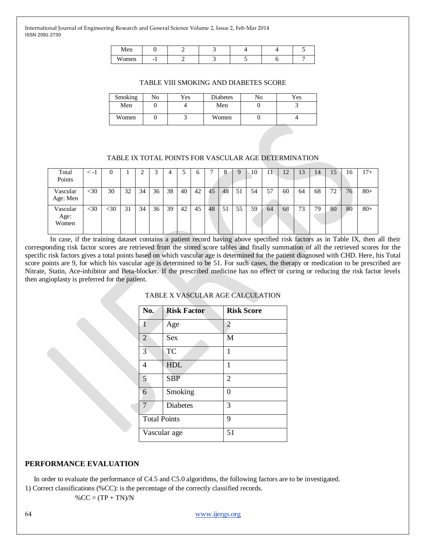| Men                     |                          |  |  |  |
|-------------------------|--------------------------|--|--|--|
| <b>TTT</b><br>omen<br>w | $\overline{\phantom{0}}$ |  |  |  |

#### TABLE VIII SMOKING AND DIABETES SCORE

| Smoking | No | Yes | <b>Diabetes</b> | No | Yes |
|---------|----|-----|-----------------|----|-----|
| Men     |    |     | Men             |    |     |
| Women   |    |     | Women           |    |     |

### TABLE IX TOTAL POINTS FOR VASCULAR AGE DETERMINATION

| Total    | $\leq -1$ |        |    |    | ⌒<br>C |    |    | n  |    | 8  | 9  | 10 | 11 | 12 | 13 | 14 | 15 | 16 | $17+$  |
|----------|-----------|--------|----|----|--------|----|----|----|----|----|----|----|----|----|----|----|----|----|--------|
| Points   |           |        |    |    |        |    |    |    |    |    |    |    |    |    |    |    |    |    |        |
| Vascular | $<$ 30    | 30     | 32 | 34 | 36     | 38 | 40 | 42 | 45 | 48 | 51 | 54 | 57 | 60 | 64 | 68 | 72 | 76 | $80 +$ |
| Age: Men |           |        |    |    |        |    |    |    |    |    |    |    |    |    |    |    |    |    |        |
| Vascular | $<$ 30    | $<$ 30 | 31 | 34 | 36     | 39 | 42 | 45 | 48 | 51 | 55 | 59 | 64 | 68 | 73 | 79 | 80 | 80 | $80+$  |
| Age:     |           |        |    |    |        |    |    |    |    |    |    |    |    |    |    |    |    |    |        |
| Women    |           |        |    |    |        |    |    |    |    |    |    |    |    |    |    |    |    |    |        |
|          |           |        |    |    |        |    |    |    |    |    |    |    |    |    |    |    |    |    |        |

In case, if the training dataset contains a patient record having above specified risk factors as in Table IX, then all their corresponding risk factor scores are retrieved from the stored score tables and finally summation of all the retrieved scores for the specific risk factors gives a total points based on which vascular age is determined for the patient diagnosed with CHD. Here, his Total score points are 9, for which his vascular age is determined to be 51. For such cases, the therapy or medication to be prescribed are Nitrate, Statin, Ace-inhibitor and Beta-blocker. If the prescribed medicine has no effect or curing or reducing the risk factor levels then angioplasty is preferred for the patient.

| No.                 | <b>Risk Factor</b> | <b>Risk Score</b> |
|---------------------|--------------------|-------------------|
| 1                   | Age                | 2                 |
| $\overline{2}$      | <b>Sex</b>         | M                 |
| $\overline{3}$      | <b>TC</b>          | 1                 |
| $\overline{4}$      | <b>HDL</b>         | 1                 |
| 5                   | <b>SBP</b>         | 2                 |
| 6                   | Smoking            | 0                 |
| $\overline{7}$      | <b>Diabetes</b>    | 3                 |
| <b>Total Points</b> |                    | 9                 |
| Vascular age        |                    | 51                |

### TABLE X VASCULAR AGE CALCULATION

# **PERFORMANCE EVALUATION**

 In order to evaluate the performance of C4.5 and C5.0 algorithms, the following factors are to be investigated. 1) Correct classifications (%CC): is the percentage of the correctly classified records.

 $%CC = (TP + TN)/N$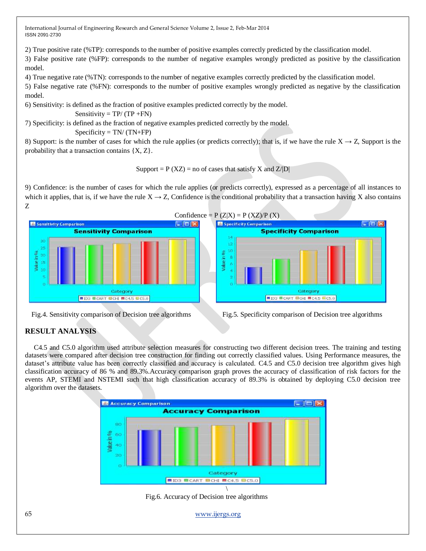2) True positive rate (%TP): corresponds to the number of positive examples correctly predicted by the classification model.

3) False positive rate (%FP): corresponds to the number of negative examples wrongly predicted as positive by the classification model.

4) True negative rate (%TN): corresponds to the number of negative examples correctly predicted by the classification model.

5) False negative rate (%FN): corresponds to the number of positive examples wrongly predicted as negative by the classification model.

6) Sensitivity: is defined as the fraction of positive examples predicted correctly by the model.

Sensitivity =  $TP/(TP + FN)$ 

7) Specificity: is defined as the fraction of negative examples predicted correctly by the model.  $Specificity = TN/(TN+FP)$ 

8) Support: is the number of cases for which the rule applies (or predicts correctly); that is, if we have the rule  $X \rightarrow Z$ , Support is the probability that a transaction contains {X, Z}.

Support =  $P$  (XZ) = no of cases that satisfy X and Z/|D|

9) Confidence: is the number of cases for which the rule applies (or predicts correctly), expressed as a percentage of all instances to which it applies, that is, if we have the rule  $X \rightarrow Z$ , Confidence is the conditional probability that a transaction having X also contains Z





Fig.4. Sensitivity comparison of Decision tree algorithms Fig.5. Specificity comparison of Decision tree algorithms

# **RESULT ANALYSIS**

 C4.5 and C5.0 algorithm used attribute selection measures for constructing two different decision trees. The training and testing datasets were compared after decision tree construction for finding out correctly classified values. Using Performance measures, the dataset's attribute value has been correctly classified and accuracy is calculated. C4.5 and C5.0 decision tree algorithm gives high classification accuracy of 86 % and 89.3%.Accuracy comparison graph proves the accuracy of classification of risk factors for the events AP, STEMI and NSTEMI such that high classification accuracy of 89.3% is obtained by deploying C5.0 decision tree algorithm over the datasets.



Fig.6. Accuracy of Decision tree algorithms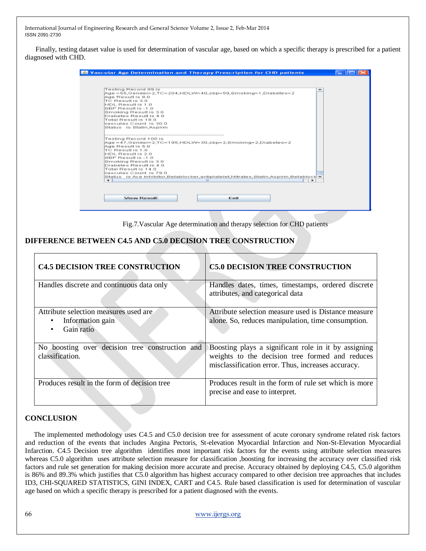Finally, testing dataset value is used for determination of vascular age, based on which a specific therapy is prescribed for a patient diagnosed with CHD.

| Testing Record 99 is                            |                                                                                        |   |  | - |  |
|-------------------------------------------------|----------------------------------------------------------------------------------------|---|--|---|--|
| Age Result is 8.0                               | $Age = 66.6$ ender= $2.7$ C= $204.$ HDLVV= $40.$ sbp= $59.8$ moking=1.Diabetes= $2$    |   |  |   |  |
| ITO Result is 3.0.                              |                                                                                        |   |  |   |  |
| HDL Result is 1.0                               |                                                                                        |   |  |   |  |
| 8BP Result is -1.0                              |                                                                                        |   |  |   |  |
| Smoking Result is 3.0<br>Diabetes Result is 4.0 |                                                                                        |   |  |   |  |
| Total Result is 18.0                            |                                                                                        |   |  |   |  |
| vasculas Count is 30.0                          |                                                                                        |   |  |   |  |
| Status is Statin, Aspirin                       |                                                                                        |   |  |   |  |
|                                                 |                                                                                        |   |  |   |  |
| Testing Record 100 is                           |                                                                                        |   |  |   |  |
|                                                 | Age = 47, Gender= 2, TC=195, HDLW=30, sbp= 2, Bmoking= 2, Diabetes= 2                  |   |  |   |  |
| Ade Result is 5.0                               |                                                                                        |   |  |   |  |
| TC Result is 1.0<br>HOL Result is 2.0           |                                                                                        |   |  |   |  |
| SBP Result is -1.0                              |                                                                                        |   |  |   |  |
| Smoking Result is 3.0                           |                                                                                        |   |  |   |  |
| Diabetes Result is 4.0                          |                                                                                        |   |  |   |  |
| Total Result is 14.0                            |                                                                                        |   |  |   |  |
| vescules Count is 79.0                          | Status – is Ace inhibitor,Betablocker,antiplatelet,Nitrates,Statin,Aspirin,Betablock = |   |  |   |  |
| ٠                                               |                                                                                        | Ш |  | ۰ |  |
|                                                 |                                                                                        |   |  |   |  |
|                                                 |                                                                                        |   |  |   |  |
|                                                 |                                                                                        |   |  |   |  |

Fig.7.Vascular Age determination and therapy selection for CHD patients

# **DIFFERENCE BETWEEN C4.5 AND C5.0 DECISION TREE CONSTRUCTION**

| <b>C4.5 DECISION TREE CONSTRUCTION</b>                                  | <b>C5.0 DECISION TREE CONSTRUCTION</b>                                                                                                                        |  |  |  |
|-------------------------------------------------------------------------|---------------------------------------------------------------------------------------------------------------------------------------------------------------|--|--|--|
| Handles discrete and continuous data only                               | Handles dates, times, timestamps, ordered discrete<br>attributes, and categorical data                                                                        |  |  |  |
| Attribute selection measures used are<br>Information gain<br>Gain ratio | Attribute selection measure used is Distance measure<br>alone. So, reduces manipulation, time consumption.                                                    |  |  |  |
| No boosting over decision tree construction and<br>classification.      | Boosting plays a significant role in it by assigning<br>weights to the decision tree formed and reduces<br>misclassification error. Thus, increases accuracy. |  |  |  |
| Produces result in the form of decision tree                            | Produces result in the form of rule set which is more<br>precise and ease to interpret.                                                                       |  |  |  |

# **CONCLUSION**

 The implemented methodology uses C4.5 and C5.0 decision tree for assessment of acute coronary syndrome related risk factors and reduction of the events that includes Angina Pectoris, St-elevation Myocardial Infarction and Non-St-Elevation Myocardial Infarction. C4.5 Decision tree algorithm identifies most important risk factors for the events using attribute selection measures whereas C5.0 algorithm uses attribute selection measure for classification ,boosting for increasing the accuracy over classified risk factors and rule set generation for making decision more accurate and precise. Accuracy obtained by deploying C4.5, C5.0 algorithm is 86% and 89.3% which justifies that C5.0 algorithm has highest accuracy compared to other decision tree approaches that includes ID3, CHI-SQUARED STATISTICS, GINI INDEX, CART and C4.5. Rule based classification is used for determination of vascular age based on which a specific therapy is prescribed for a patient diagnosed with the events.